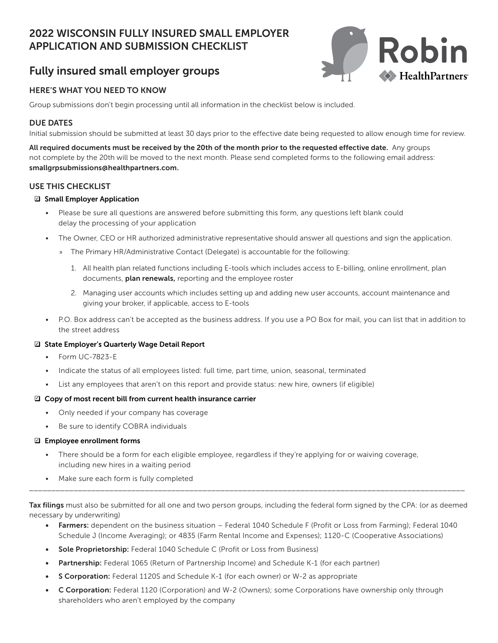# 2022 WISCONSIN FULLY INSURED SMALL EMPLOYER APPLICATION AND SUBMISSION CHECKLIST



# Fully insured small employer groups

## HERE'S WHAT YOU NEED TO KNOW

Group submissions don't begin processing until all information in the checklist below is included.

### DUE DATES

Initial submission should be submitted at least 30 days prior to the effective date being requested to allow enough time for review.

All required documents must be received by the 20th of the month prior to the requested effective date. Any groups not complete by the 20th will be moved to the next month. Please send completed forms to the following email address: smallgrpsubmissions@healthpartners.com.

### USE THIS CHECKLIST

#### $\boxdot$  Small Employer Application

- Please be sure all questions are answered before submitting this form, any questions left blank could delay the processing of your application
- The Owner, CEO or HR authorized administrative representative should answer all questions and sign the application.
	- » The Primary HR/Administrative Contact (Delegate) is accountable for the following:
		- 1. All health plan related functions including E-tools which includes access to E-billing, online enrollment, plan documents, plan renewals, reporting and the employee roster
		- 2. Managing user accounts which includes setting up and adding new user accounts, account maintenance and giving your broker, if applicable, access to E-tools
- P.O. Box address can't be accepted as the business address. If you use a PO Box for mail, you can list that in addition to the street address

#### □ State Employer's Quarterly Wage Detail Report

- Form UC-7823-E
- Indicate the status of all employees listed: full time, part time, union, seasonal, terminated
- List any employees that aren't on this report and provide status: new hire, owners (if eligible)

#### $\Box$  Copy of most recent bill from current health insurance carrier

- Only needed if your company has coverage
- Be sure to identify COBRA individuals

#### $\boxdot$  Employee enrollment forms

- There should be a form for each eligible employee, regardless if they're applying for or waiving coverage, including new hires in a waiting period
- Make sure each form is fully completed

Tax filings must also be submitted for all one and two person groups, including the federal form signed by the CPA: (or as deemed necessary by underwriting)

\_\_\_\_\_\_\_\_\_\_\_\_\_\_\_\_\_\_\_\_\_\_\_\_\_\_\_\_\_\_\_\_\_\_\_\_\_\_\_\_\_\_\_\_\_\_\_\_\_\_\_\_\_\_\_\_\_\_\_\_\_\_\_\_\_\_\_\_\_\_\_\_\_\_\_\_\_\_\_\_\_\_\_\_\_\_\_\_\_\_\_\_\_\_\_\_\_\_

- Farmers: dependent on the business situation Federal 1040 Schedule F (Profit or Loss from Farming); Federal 1040 Schedule J (Income Averaging); or 4835 (Farm Rental Income and Expenses); 1120-C (Cooperative Associations)
- Sole Proprietorship: Federal 1040 Schedule C (Profit or Loss from Business)
- Partnership: Federal 1065 (Return of Partnership Income) and Schedule K-1 (for each partner)
- S Corporation: Federal 1120S and Schedule K-1 (for each owner) or W-2 as appropriate
- C Corporation: Federal 1120 (Corporation) and W-2 (Owners); some Corporations have ownership only through shareholders who aren't employed by the company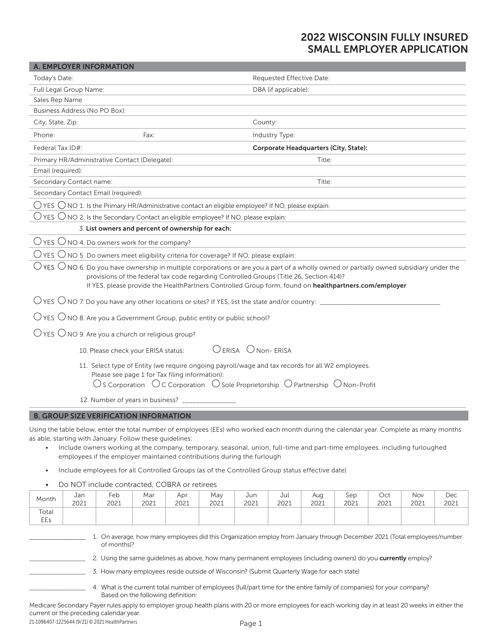## 2022 WISCONSIN FULLY INSURED SMALL EMPLOYER APPLICATION

| <b>A. EMPLOYER INFORMATION</b>                                                                                                                                                                                                                                                                                                                                 |                                                                                                                            |  |  |  |
|----------------------------------------------------------------------------------------------------------------------------------------------------------------------------------------------------------------------------------------------------------------------------------------------------------------------------------------------------------------|----------------------------------------------------------------------------------------------------------------------------|--|--|--|
| Today's Date:                                                                                                                                                                                                                                                                                                                                                  | Requested Effective Date:                                                                                                  |  |  |  |
| Full Legal Group Name:                                                                                                                                                                                                                                                                                                                                         | DBA (if applicable):                                                                                                       |  |  |  |
| Sales Rep Name                                                                                                                                                                                                                                                                                                                                                 |                                                                                                                            |  |  |  |
| Business Address (No PO Box):                                                                                                                                                                                                                                                                                                                                  |                                                                                                                            |  |  |  |
| City, State, Zip:                                                                                                                                                                                                                                                                                                                                              | County:                                                                                                                    |  |  |  |
| Phone:<br>Fax:                                                                                                                                                                                                                                                                                                                                                 | Industry Type:                                                                                                             |  |  |  |
| Federal Tax ID#:                                                                                                                                                                                                                                                                                                                                               | Corporate Headquarters (City, State):                                                                                      |  |  |  |
| Primary HR/Administrative Contact (Delegate):                                                                                                                                                                                                                                                                                                                  | Title:                                                                                                                     |  |  |  |
| Email (required):                                                                                                                                                                                                                                                                                                                                              |                                                                                                                            |  |  |  |
| Secondary Contact name:                                                                                                                                                                                                                                                                                                                                        | Title:                                                                                                                     |  |  |  |
| Secondary Contact Email (required):                                                                                                                                                                                                                                                                                                                            |                                                                                                                            |  |  |  |
| $\bigcirc$ YES $\bigcirc$ NO 1. Is the Primary HR/Administrative contact an eligible employee? If NO, please explain:                                                                                                                                                                                                                                          |                                                                                                                            |  |  |  |
| $\bigcirc$ YES $\bigcirc$ NO 2. Is the Secondary Contact an eligible employee? If NO, please explain:                                                                                                                                                                                                                                                          |                                                                                                                            |  |  |  |
| 3. List owners and percent of ownership for each:                                                                                                                                                                                                                                                                                                              |                                                                                                                            |  |  |  |
| $\bigcirc$ YES $\bigcirc$ NO 4. Do owners work for the company?                                                                                                                                                                                                                                                                                                |                                                                                                                            |  |  |  |
| $\bigcirc$ YES $\bigcirc$ NO 5. Do owners meet eligibility criteria for coverage? If NO, please explain:                                                                                                                                                                                                                                                       |                                                                                                                            |  |  |  |
| $\bigcirc$ YES $\bigcirc$ NO 6. Do you have ownership in multiple corporations or are you a part of a wholly owned or partially owned subsidiary under the<br>provisions of the federal tax code regarding Controlled Groups (Title 26, Section 414)?<br>If YES, please provide the HealthPartners Controlled Group form, found on healthpartners.com/employer |                                                                                                                            |  |  |  |
|                                                                                                                                                                                                                                                                                                                                                                |                                                                                                                            |  |  |  |
| $\overline{O}$ YES $\overline{O}$ NO 8. Are you a Government Group, public entity or public school?                                                                                                                                                                                                                                                            |                                                                                                                            |  |  |  |
| $\bigcirc$ YES $\bigcirc$ NO 9. Are you a church or religious group?                                                                                                                                                                                                                                                                                           |                                                                                                                            |  |  |  |
| 10. Please check your ERISA status:                                                                                                                                                                                                                                                                                                                            | OERISA ONON-ERISA                                                                                                          |  |  |  |
| 11. Select type of Entity (we require ongoing payroll/wage and tax records for all W2 employees.<br>Please see page 1 for Tax filing information):<br>$\bigcirc$ S Corporation $\bigcirc$ C Corporation $\bigcirc$ Sole Proprietorship $\bigcirc$ Partnership $\bigcirc$ Non-Profit                                                                            |                                                                                                                            |  |  |  |
| 12. Number of years in business? __                                                                                                                                                                                                                                                                                                                            |                                                                                                                            |  |  |  |
| <b>B. GROUP SIZE VERIFICATION INFORMATION</b>                                                                                                                                                                                                                                                                                                                  |                                                                                                                            |  |  |  |
| Using the table below, enter the total number of employees (EEs) who worked each month during the calendar year. Complete as many months<br>as able, starting with January. Follow these guidelines:<br>employees if the employer maintained contributions during the furlough                                                                                 | Include owners working at the company, temporary, seasonal, union, full-time and part-time employees, including furloughed |  |  |  |

- Include employees for all Controlled Groups (as of the Controlled Group status effective date)
- Do NOT include contracted, COBRA or retirees

| 2021         | 2021 | 2021 | 2021 | 2021 | 2021 | 2021 | 2021 | 2021 | 2021 | 2021 | 2021 |
|--------------|------|------|------|------|------|------|------|------|------|------|------|
| Total<br>EEs |      |      |      |      |      |      |      |      |      |      |      |

1. On average, how many employees did this Organization employ from January through December 2021 (Total employees/number of months)?

2. Using the same guidelines as above, how many permanent employees (including owners) do you **currently** employ?

\_\_\_\_\_\_\_\_\_\_\_\_\_\_\_\_\_\_ 3. How many employees reside outside of Wisconsin? (Submit Quarterly Wage for each state)

4. What is the current total number of employees (full/part time for the entire family of companies) for your company? Based on the following definition:

Medicare Secondary Payer rules apply to employer group health plans with 20 or more employees for each working day in at least 20 weeks in either the current or the preceding calendar year.

21-1096407-1225644 (9/21) © 2021 HealthPartners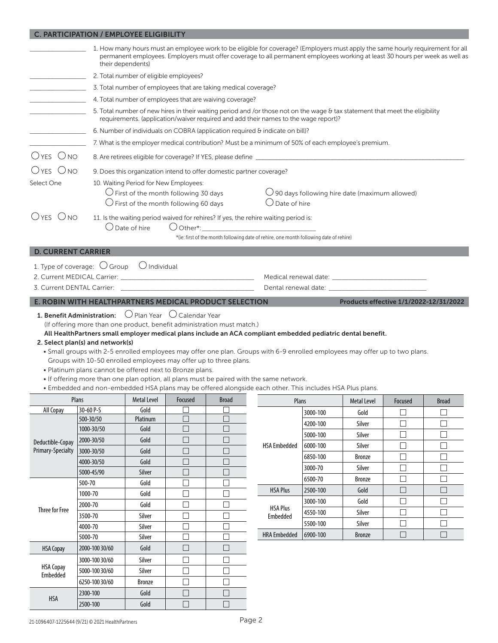|                           | <b>C. PARTICIPATION / EMPLOYEE ELIGIBILITY</b>                                                                                                                                                                                               |                                                                                                                                                                                                                                                                                    |                          |                                                                |                                                                                                                                                                                                                                                                                                                                         |                      |                                        |                  |                  |  |
|---------------------------|----------------------------------------------------------------------------------------------------------------------------------------------------------------------------------------------------------------------------------------------|------------------------------------------------------------------------------------------------------------------------------------------------------------------------------------------------------------------------------------------------------------------------------------|--------------------------|----------------------------------------------------------------|-----------------------------------------------------------------------------------------------------------------------------------------------------------------------------------------------------------------------------------------------------------------------------------------------------------------------------------------|----------------------|----------------------------------------|------------------|------------------|--|
|                           |                                                                                                                                                                                                                                              | 1. How many hours must an employee work to be eligible for coverage? (Employers must apply the same hourly requirement for all<br>permanent employees. Employers must offer coverage to all permanent employees working at least 30 hours per week as well as<br>their dependents) |                          |                                                                |                                                                                                                                                                                                                                                                                                                                         |                      |                                        |                  |                  |  |
|                           |                                                                                                                                                                                                                                              | 2. Total number of eligible employees?                                                                                                                                                                                                                                             |                          |                                                                |                                                                                                                                                                                                                                                                                                                                         |                      |                                        |                  |                  |  |
|                           |                                                                                                                                                                                                                                              |                                                                                                                                                                                                                                                                                    |                          | 3. Total number of employees that are taking medical coverage? |                                                                                                                                                                                                                                                                                                                                         |                      |                                        |                  |                  |  |
|                           |                                                                                                                                                                                                                                              |                                                                                                                                                                                                                                                                                    |                          | 4. Total number of employees that are waiving coverage?        |                                                                                                                                                                                                                                                                                                                                         |                      |                                        |                  |                  |  |
|                           |                                                                                                                                                                                                                                              |                                                                                                                                                                                                                                                                                    |                          |                                                                | 5. Total number of new hires in their waiting period and /or those not on the wage & tax statement that meet the eligibility<br>requirements. (application/waiver required and add their names to the wage report)?                                                                                                                     |                      |                                        |                  |                  |  |
|                           |                                                                                                                                                                                                                                              |                                                                                                                                                                                                                                                                                    |                          |                                                                | 6. Number of individuals on COBRA (application required & indicate on bill)?                                                                                                                                                                                                                                                            |                      |                                        |                  |                  |  |
|                           |                                                                                                                                                                                                                                              |                                                                                                                                                                                                                                                                                    |                          |                                                                | 7. What is the employer medical contribution? Must be a minimum of 50% of each employee's premium.                                                                                                                                                                                                                                      |                      |                                        |                  |                  |  |
| $OYES$ $ONO$              |                                                                                                                                                                                                                                              |                                                                                                                                                                                                                                                                                    |                          |                                                                |                                                                                                                                                                                                                                                                                                                                         |                      |                                        |                  |                  |  |
| Oyes Ono                  |                                                                                                                                                                                                                                              | 9. Does this organization intend to offer domestic partner coverage?                                                                                                                                                                                                               |                          |                                                                |                                                                                                                                                                                                                                                                                                                                         |                      |                                        |                  |                  |  |
| Select One                |                                                                                                                                                                                                                                              |                                                                                                                                                                                                                                                                                    |                          |                                                                |                                                                                                                                                                                                                                                                                                                                         |                      |                                        |                  |                  |  |
|                           |                                                                                                                                                                                                                                              | 10. Waiting Period for New Employees:<br>$\bigcirc$ First of the month following 30 days<br>$\bigcirc$ 90 days following hire date (maximum allowed)<br>$\bigcirc$ Date of hire<br>$\bigcirc$ First of the month following 60 days                                                 |                          |                                                                |                                                                                                                                                                                                                                                                                                                                         |                      |                                        |                  |                  |  |
| Oyes Ono                  |                                                                                                                                                                                                                                              |                                                                                                                                                                                                                                                                                    |                          |                                                                | 11. Is the waiting period waived for rehires? If yes, the rehire waiting period is:                                                                                                                                                                                                                                                     |                      |                                        |                  |                  |  |
|                           |                                                                                                                                                                                                                                              | Date of hire                                                                                                                                                                                                                                                                       |                          |                                                                | $\bigcup$ Other*: $\qquad \qquad$                                                                                                                                                                                                                                                                                                       |                      |                                        |                  |                  |  |
|                           |                                                                                                                                                                                                                                              |                                                                                                                                                                                                                                                                                    |                          |                                                                | *(ie: first of the month following date of rehire, one month following date of rehire)                                                                                                                                                                                                                                                  |                      |                                        |                  |                  |  |
| <b>D. CURRENT CARRIER</b> |                                                                                                                                                                                                                                              |                                                                                                                                                                                                                                                                                    |                          |                                                                |                                                                                                                                                                                                                                                                                                                                         |                      |                                        |                  |                  |  |
|                           | 1. Type of coverage: $\bigcirc$ Group $\bigcirc$ Individual                                                                                                                                                                                  |                                                                                                                                                                                                                                                                                    |                          |                                                                |                                                                                                                                                                                                                                                                                                                                         |                      |                                        |                  |                  |  |
|                           |                                                                                                                                                                                                                                              |                                                                                                                                                                                                                                                                                    |                          |                                                                |                                                                                                                                                                                                                                                                                                                                         |                      |                                        |                  |                  |  |
|                           |                                                                                                                                                                                                                                              |                                                                                                                                                                                                                                                                                    |                          |                                                                |                                                                                                                                                                                                                                                                                                                                         |                      |                                        |                  |                  |  |
|                           | E. ROBIN WITH HEALTHPARTNERS MEDICAL PRODUCT SELECTION                                                                                                                                                                                       |                                                                                                                                                                                                                                                                                    |                          |                                                                |                                                                                                                                                                                                                                                                                                                                         |                      | Products effective 1/1/2022-12/31/2022 |                  |                  |  |
|                           | (If offering more than one product, benefit administration must match.)<br>2. Select plan(s) and network(s)<br>Groups with 10-50 enrolled employees may offer up to three plans.<br>. Platinum plans cannot be offered next to Bronze plans. |                                                                                                                                                                                                                                                                                    |                          |                                                                | All HealthPartners small employer medical plans include an ACA compliant embedded pediatric dental benefit.<br>. Small groups with 2-5 enrolled employees may offer one plan. Groups with 6-9 enrolled employees may offer up to two plans.<br>. If offering more than one plan option, all plans must be paired with the same network. |                      |                                        |                  |                  |  |
|                           | Plans                                                                                                                                                                                                                                        | the contract of the contract of the contract of the contract of the contract of                                                                                                                                                                                                    |                          |                                                                | . Embedded and non-embedded HSA plans may be offered alongside each other. This includes HSA Plus plans.<br><u> 1989 - Jan Sterling van die Grootspreek van die Grootspreek van die Grootspreek van die Grootspreek van die Gro</u>                                                                                                     |                      |                                        |                  |                  |  |
| All Copay                 | 30-60 P-S                                                                                                                                                                                                                                    | <b>Metal Level</b><br>Gold                                                                                                                                                                                                                                                         | Focused                  | <b>Broad</b>                                                   | Plans                                                                                                                                                                                                                                                                                                                                   |                      | <b>Metal Level</b>                     | Focused          | <b>Broad</b>     |  |
|                           | 500-30/50                                                                                                                                                                                                                                    | Platinum                                                                                                                                                                                                                                                                           |                          |                                                                |                                                                                                                                                                                                                                                                                                                                         | 3000-100             | Gold                                   | $\mathsf{L}$     | $\Box$           |  |
|                           | 1000-30/50                                                                                                                                                                                                                                   | Gold                                                                                                                                                                                                                                                                               | □                        | $\Box$                                                         |                                                                                                                                                                                                                                                                                                                                         | 4200-100<br>5000-100 | Silver<br>Silver                       | $\Box$<br>$\Box$ | $\Box$<br>$\Box$ |  |
| Deductible-Copay          | 2000-30/50                                                                                                                                                                                                                                   | Gold                                                                                                                                                                                                                                                                               | $\Box$                   | $\Box$                                                         | <b>HSA Embedded</b>                                                                                                                                                                                                                                                                                                                     | 6000-100             | Silver                                 | $\Box$           | ⊔                |  |
| Primary-Specialty         | 3000-30/50                                                                                                                                                                                                                                   | Gold                                                                                                                                                                                                                                                                               | $\Box$                   | $\mathcal{L}$                                                  |                                                                                                                                                                                                                                                                                                                                         | 6850-100             | Bronze                                 | □                | □                |  |
|                           | 4000-30/50                                                                                                                                                                                                                                   | Gold                                                                                                                                                                                                                                                                               | $\overline{\phantom{a}}$ | m.                                                             |                                                                                                                                                                                                                                                                                                                                         | 3000-70              | Silver                                 | $\Box$           | $\Box$           |  |
|                           | 5000-45/90                                                                                                                                                                                                                                   | Silver                                                                                                                                                                                                                                                                             | $\Box$                   | $\Box$                                                         |                                                                                                                                                                                                                                                                                                                                         | 6500-70              | Bronze                                 | $\Box$           | $\Box$           |  |
|                           | 500-70                                                                                                                                                                                                                                       | Gold                                                                                                                                                                                                                                                                               | $\Box$                   | $\mathcal{L}$                                                  | <b>HSA Plus</b>                                                                                                                                                                                                                                                                                                                         | 2500-100             | Gold                                   | $\Box$           | $\Box$           |  |
|                           | 1000-70                                                                                                                                                                                                                                      | Gold                                                                                                                                                                                                                                                                               | $\Box$                   | $\Box$                                                         |                                                                                                                                                                                                                                                                                                                                         | 3000-100             | Gold                                   | $\Box$           | $\Box$           |  |
| <b>Three for Free</b>     | 2000-70                                                                                                                                                                                                                                      | Gold                                                                                                                                                                                                                                                                               | $\Box$                   | $\Box$                                                         | <b>HSA Plus</b>                                                                                                                                                                                                                                                                                                                         | 4550-100             | Silver                                 | П                | $\Box$           |  |
|                           | 3500-70                                                                                                                                                                                                                                      | Silver                                                                                                                                                                                                                                                                             | $\Box$                   | $\Box$                                                         | Embedded                                                                                                                                                                                                                                                                                                                                | 5500-100             | Silver                                 | $\Box$           | $\Box$           |  |
|                           | 4000-70                                                                                                                                                                                                                                      | Silver                                                                                                                                                                                                                                                                             | $\Box$<br>⊏              |                                                                | <b>HRA Embedded</b>                                                                                                                                                                                                                                                                                                                     | 6900-100             | <b>Bronze</b>                          | $\Box$           | □                |  |
|                           | 5000-70                                                                                                                                                                                                                                      | Silver                                                                                                                                                                                                                                                                             |                          |                                                                |                                                                                                                                                                                                                                                                                                                                         |                      |                                        |                  |                  |  |
| <b>HSA Copay</b>          | 2000-100 30/60                                                                                                                                                                                                                               | Gold                                                                                                                                                                                                                                                                               | $\mathbb{R}^n$           | $\mathcal{L}_{\mathcal{A}}$                                    |                                                                                                                                                                                                                                                                                                                                         |                      |                                        |                  |                  |  |
| <b>HSA Copay</b>          | 3000-100 30/60                                                                                                                                                                                                                               | Silver                                                                                                                                                                                                                                                                             | $\Box$                   | $\Box$                                                         |                                                                                                                                                                                                                                                                                                                                         |                      |                                        |                  |                  |  |
| Embedded                  | 5000-100 30/60                                                                                                                                                                                                                               | Silver                                                                                                                                                                                                                                                                             | $\Box$                   | $\Box$                                                         |                                                                                                                                                                                                                                                                                                                                         |                      |                                        |                  |                  |  |
|                           | 6250-100 30/60                                                                                                                                                                                                                               | <b>Bronze</b>                                                                                                                                                                                                                                                                      | $\Box$<br>$\Box$         | П                                                              |                                                                                                                                                                                                                                                                                                                                         |                      |                                        |                  |                  |  |
| <b>HSA</b>                | 2300-100                                                                                                                                                                                                                                     | Gold                                                                                                                                                                                                                                                                               |                          | H                                                              |                                                                                                                                                                                                                                                                                                                                         |                      |                                        |                  |                  |  |

п

2500-100 Gold

 $\overline{\Box}$ 

 $\overline{\square}$